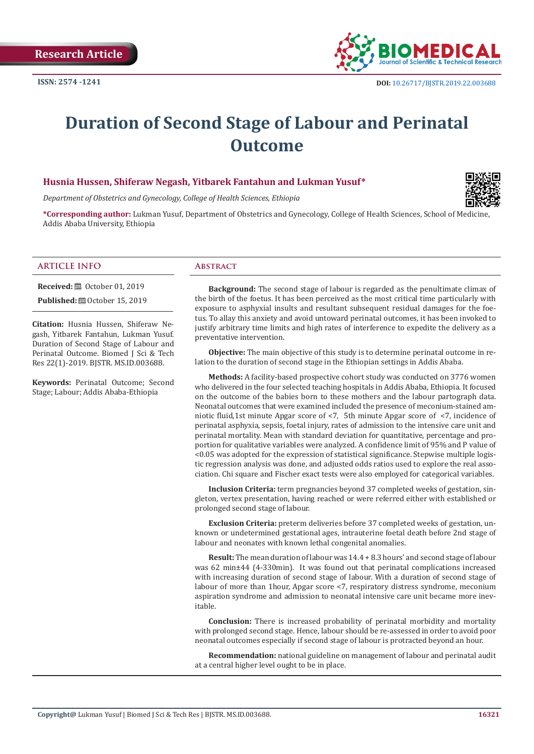

# **Duration of Second Stage of Labour and Perinatal Outcome**

# **Husnia Hussen, Shiferaw Negash, Yitbarek Fantahun and Lukman Yusuf\***

*Department of Obstetrics and Gynecology, College of Health Sciences, Ethiopia*

**\*Corresponding author:** Lukman Yusuf, Department of Obstetrics and Gynecology, College of Health Sciences, School of Medicine, Addis Ababa University, Ethiopia

#### **ARTICLE INFO Abstract**

**Received:** ■ October 01, 2019

**Published: @** October 15, 2019

**Citation:** Husnia Hussen, Shiferaw Negash, Yitbarek Fantahun, Lukman Yusuf. Duration of Second Stage of Labour and Perinatal Outcome. Biomed J Sci & Tech Res 22(1)-2019. BJSTR. MS.ID.003688.

**Keywords:** Perinatal Outcome; Second Stage; Labour; Addis Ababa-Ethiopia

**Background:** The second stage of labour is regarded as the penultimate climax of the birth of the foetus. It has been perceived as the most critical time particularly with exposure to asphyxial insults and resultant subsequent residual damages for the foetus. To allay this anxiety and avoid untoward perinatal outcomes, it has been invoked to justify arbitrary time limits and high rates of interference to expedite the delivery as a preventative intervention.

**Objective:** The main objective of this study is to determine perinatal outcome in relation to the duration of second stage in the Ethiopian settings in Addis Ababa.

**Methods:** A facility-based prospective cohort study was conducted on 3776 women who delivered in the four selected teaching hospitals in Addis Ababa, Ethiopia. It focused on the outcome of the babies born to these mothers and the labour partograph data. Neonatal outcomes that were examined included the presence of meconium-stained amniotic fluid,1st minute Apgar score of <7, 5th minute Apgar score of <7, incidence of perinatal asphyxia, sepsis, foetal injury, rates of admission to the intensive care unit and perinatal mortality. Mean with standard deviation for quantitative, percentage and proportion for qualitative variables were analyzed. A confidence limit of 95% and P value of <0.05 was adopted for the expression of statistical significance. Stepwise multiple logistic regression analysis was done, and adjusted odds ratios used to explore the real association. Chi square and Fischer exact tests were also employed for categorical variables.

**Inclusion Criteria:** term pregnancies beyond 37 completed weeks of gestation, singleton, vertex presentation, having reached or were referred either with established or prolonged second stage of labour.

**Exclusion Criteria:** preterm deliveries before 37 completed weeks of gestation, unknown or undetermined gestational ages, intrauterine foetal death before 2nd stage of labour and neonates with known lethal congenital anomalies.

**Result:** The mean duration of labour was 14.4 + 8.3 hours' and second stage of labour was 62 min±44 (4-330min). It was found out that perinatal complications increased with increasing duration of second stage of labour. With a duration of second stage of labour of more than 1hour, Apgar score <7, respiratory distress syndrome, meconium aspiration syndrome and admission to neonatal intensive care unit became more inevitable.

**Conclusion:** There is increased probability of perinatal morbidity and mortality with prolonged second stage. Hence, labour should be re-assessed in order to avoid poor neonatal outcomes especially if second stage of labour is protracted beyond an hour.

**Recommendation:** national guideline on management of labour and perinatal audit at a central higher level ought to be in place.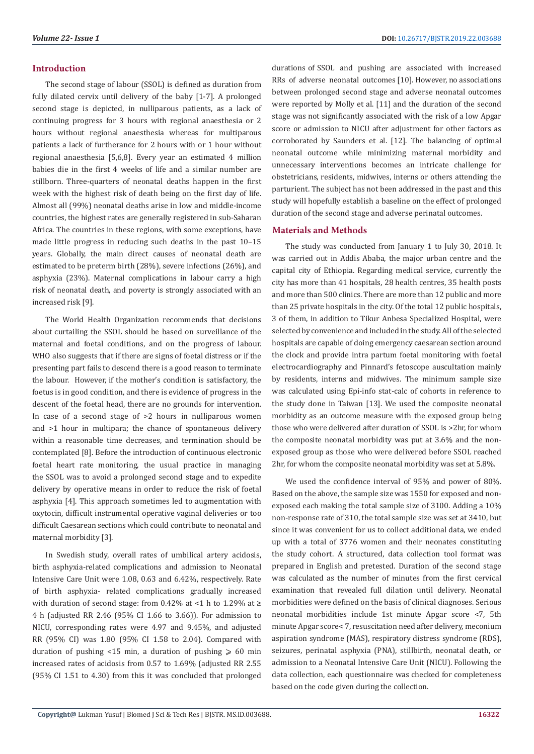# **Introduction**

The second stage of labour (SSOL) is defined as duration from fully dilated cervix until delivery of the baby [1-7]. A prolonged second stage is depicted, in nulliparous patients, as a lack of continuing progress for 3 hours with regional anaesthesia or 2 hours without regional anaesthesia whereas for multiparous patients a lack of furtherance for 2 hours with or 1 hour without regional anaesthesia [5,6,8]. Every year an estimated 4 million babies die in the first 4 weeks of life and a similar number are stillborn. Three-quarters of neonatal deaths happen in the first week with the highest risk of death being on the first day of life. Almost all (99%) neonatal deaths arise in low and middle-income countries, the highest rates are generally registered in sub-Saharan Africa. The countries in these regions, with some exceptions, have made little progress in reducing such deaths in the past 10–15 years. Globally, the main direct causes of neonatal death are estimated to be preterm birth (28%), severe infections (26%), and asphyxia (23%). Maternal complications in labour carry a high risk of neonatal death, and poverty is strongly associated with an increased risk [9].

The World Health Organization recommends that decisions about curtailing the SSOL should be based on surveillance of the maternal and foetal conditions, and on the progress of labour. WHO also suggests that if there are signs of foetal distress or if the presenting part fails to descend there is a good reason to terminate the labour. However, if the mother's condition is satisfactory, the foetus is in good condition, and there is evidence of progress in the descent of the foetal head, there are no grounds for intervention. In case of a second stage of >2 hours in nulliparous women and >1 hour in multipara; the chance of spontaneous delivery within a reasonable time decreases, and termination should be contemplated [8]. Before the introduction of continuous electronic foetal heart rate monitoring, the usual practice in managing the SSOL was to avoid a prolonged second stage and to expedite delivery by operative means in order to reduce the risk of foetal asphyxia [4]. This approach sometimes led to augmentation with oxytocin, difficult instrumental operative vaginal deliveries or too difficult Caesarean sections which could contribute to neonatal and maternal morbidity [3].

In Swedish study, overall rates of umbilical artery acidosis, birth asphyxia-related complications and admission to Neonatal Intensive Care Unit were 1.08, 0.63 and 6.42%, respectively. Rate of birth asphyxia- related complications gradually increased with duration of second stage: from 0.42% at <1 h to 1.29% at  $\ge$ 4 h (adjusted RR 2.46 (95% CI 1.66 to 3.66)). For admission to NICU, corresponding rates were 4.97 and 9.45%, and adjusted RR (95% CI) was 1.80 (95% CI 1.58 to 2.04). Compared with duration of pushing  $\langle 15 \text{ min}, a \text{ duration of pushing } \rangle$  60 min increased rates of acidosis from 0.57 to 1.69% (adjusted RR 2.55 (95% CI 1.51 to 4.30) from this it was concluded that prolonged

durations of SSOL and pushing are associated with increased RRs of adverse neonatal outcomes [10]. However, no associations between prolonged second stage and adverse neonatal outcomes were reported by Molly et al. [11] and the duration of the second stage was not significantly associated with the risk of a low Apgar score or admission to NICU after adjustment for other factors as corroborated by Saunders et al. [12]. The balancing of optimal neonatal outcome while minimizing maternal morbidity and unnecessary interventions becomes an intricate challenge for obstetricians, residents, midwives, interns or others attending the parturient. The subject has not been addressed in the past and this study will hopefully establish a baseline on the effect of prolonged duration of the second stage and adverse perinatal outcomes.

# **Materials and Methods**

The study was conducted from January 1 to July 30, 2018. It was carried out in Addis Ababa, the major urban centre and the capital city of Ethiopia. Regarding medical service, currently the city has more than 41 hospitals, 28 health centres, 35 health posts and more than 500 clinics. There are more than 12 public and more than 25 private hospitals in the city. Of the total 12 public hospitals, 3 of them, in addition to Tikur Anbesa Specialized Hospital, were selected by convenience and included in the study. All of the selected hospitals are capable of doing emergency caesarean section around the clock and provide intra partum foetal monitoring with foetal electrocardiography and Pinnard's fetoscope auscultation mainly by residents, interns and midwives. The minimum sample size was calculated using Epi-info stat-calc of cohorts in reference to the study done in Taiwan [13]. We used the composite neonatal morbidity as an outcome measure with the exposed group being those who were delivered after duration of SSOL is >2hr, for whom the composite neonatal morbidity was put at 3.6% and the nonexposed group as those who were delivered before SSOL reached 2hr, for whom the composite neonatal morbidity was set at 5.8%.

We used the confidence interval of 95% and power of 80%. Based on the above, the sample size was 1550 for exposed and nonexposed each making the total sample size of 3100. Adding a 10% non-response rate of 310, the total sample size was set at 3410, but since it was convenient for us to collect additional data, we ended up with a total of 3776 women and their neonates constituting the study cohort. A structured, data collection tool format was prepared in English and pretested. Duration of the second stage was calculated as the number of minutes from the first cervical examination that revealed full dilation until delivery. Neonatal morbidities were defined on the basis of clinical diagnoses. Serious neonatal morbidities include 1st minute Apgar score <7, 5th minute Apgar score< 7, resuscitation need after delivery, meconium aspiration syndrome (MAS), respiratory distress syndrome (RDS), seizures, perinatal asphyxia (PNA), stillbirth, neonatal death, or admission to a Neonatal Intensive Care Unit (NICU). Following the data collection, each questionnaire was checked for completeness based on the code given during the collection.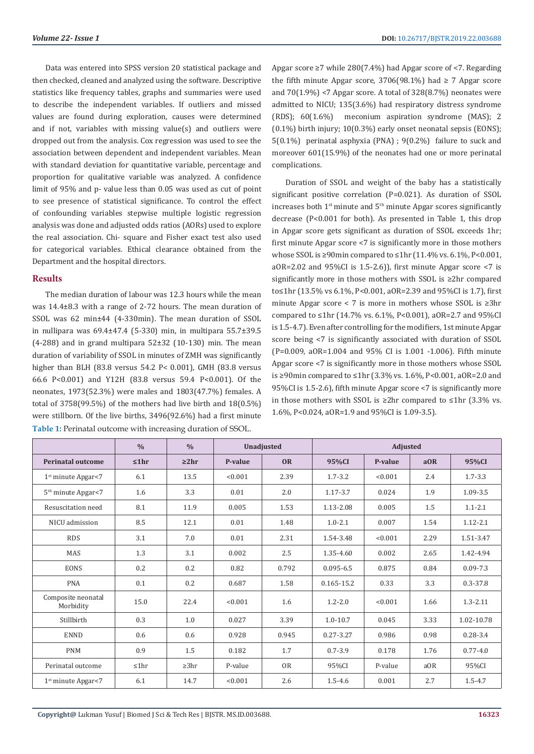Data was entered into SPSS version 20 statistical package and then checked, cleaned and analyzed using the software. Descriptive statistics like frequency tables, graphs and summaries were used to describe the independent variables. If outliers and missed values are found during exploration, causes were determined and if not, variables with missing value(s) and outliers were dropped out from the analysis. Cox regression was used to see the association between dependent and independent variables. Mean with standard deviation for quantitative variable, percentage and proportion for qualitative variable was analyzed. A confidence limit of 95% and p- value less than 0.05 was used as cut of point to see presence of statistical significance. To control the effect of confounding variables stepwise multiple logistic regression analysis was done and adjusted odds ratios (AORs) used to explore the real association. Chi- square and Fisher exact test also used for categorical variables. Ethical clearance obtained from the Department and the hospital directors.

### **Results**

The median duration of labour was 12.3 hours while the mean was 14.4±8.3 with a range of 2-72 hours. The mean duration of SSOL was 62 min±44 (4-330min). The mean duration of SSOL in nullipara was 69.4±47.4 (5-330) min, in multipara 55.7±39.5 (4-288) and in grand multipara  $52\pm32$  (10-130) min. The mean duration of variability of SSOL in minutes of ZMH was significantly higher than BLH (83.8 versus 54.2 P< 0.001), GMH (83.8 versus 66.6 P<0.001) and Y12H (83.8 versus 59.4 P<0.001). Of the neonates, 1973(52.3%) were males and 1803(47.7%) females. A total of 3758(99.5%) of the mothers had live birth and 18(0.5%) were stillborn. Of the live births, 3496(92.6%) had a first minute **Table 1:** Perinatal outcome with increasing duration of SSOL.

Apgar score ≥7 while 280(7.4%) had Apgar score of <7. Regarding the fifth minute Apgar score, 3706(98.1%) had  $\geq$  7 Apgar score and 70(1.9%) <7 Apgar score. A total of 328(8.7%) neonates were admitted to NICU; 135(3.6%) had respiratory distress syndrome (RDS); 60(1.6%) meconium aspiration syndrome (MAS); 2 (0.1%) birth injury; 10(0.3%) early onset neonatal sepsis (EONS); 5(0.1%) perinatal asphyxia (PNA) ; 9(0.2%) failure to suck and moreover 601(15.9%) of the neonates had one or more perinatal complications.

Duration of SSOL and weight of the baby has a statistically significant positive correlation (P=0.021). As duration of SSOL increases both  $1<sup>st</sup>$  minute and  $5<sup>th</sup>$  minute Apgar scores significantly decrease (P<0.001 for both). As presented in Table 1, this drop in Apgar score gets significant as duration of SSOL exceeds 1hr; first minute Apgar score <7 is significantly more in those mothers whose SSOL is ≥90min compared to ≤1hr (11.4% vs. 6.1%, P<0.001, aOR=2.02 and 95%CI is 1.5-2.6)), first minute Apgar score <7 is significantly more in those mothers with SSOL is ≥2hr compared to≤1hr (13.5% vs 6.1%, P<0.001, aOR=2.39 and 95%CI is 1.7), first minute Apgar score < 7 is more in mothers whose SSOL is ≥3hr compared to ≤1hr (14.7% vs. 6.1%, P<0.001), aOR=2.7 and 95%CI is 1.5-4.7). Even after controlling for the modifiers, 1st minute Apgar score being <7 is significantly associated with duration of SSOL (P=0.009, aOR=1.004 and 95% CI is 1.001 -1.006). Fifth minute Apgar score <7 is significantly more in those mothers whose SSOL is ≥90min compared to ≤1hr (3.3% vs. 1.6%, P<0.001, aOR=2.0 and 95%CI is 1.5-2.6), fifth minute Apgar score <7 is significantly more in those mothers with SSOL is ≥2hr compared to ≤1hr (3.3% vs. 1.6%, P<0.024, aOR=1.9 and 95%CI is 1.09-3.5).

|                                 | $\frac{0}{0}$ | $\frac{0}{0}$ | Unadjusted           |           |               |         |      |              |
|---------------------------------|---------------|---------------|----------------------|-----------|---------------|---------|------|--------------|
| Perinatal outcome               | ≤1hr          | $\geq 2$ hr   | <b>OR</b><br>P-value |           | 95%CI         | P-value | aOR  | 95%CI        |
| $1st$ minute Apgar<7            | 6.1           | 13.5          | < 0.001              | 2.39      | $1.7 - 3.2$   | < 0.001 | 2.4  | $1.7 - 3.3$  |
| 5 <sup>th</sup> minute Apgar<7  | 1.6           | 3.3           | 0.01                 | 2.0       | $1.17 - 3.7$  | 0.024   | 1.9  | 1.09-3.5     |
| Resuscitation need              | 8.1           | 11.9          | 0.005                | 1.53      | 1.13-2.08     | 0.005   | 1.5  | $1.1 - 2.1$  |
| NICU admission                  | 8.5           | 12.1          | 0.01                 | 1.48      | $1.0 - 2.1$   | 0.007   | 1.54 | $1.12 - 2.1$ |
| <b>RDS</b>                      | 3.1           | 7.0           | 0.01                 | 2.31      | 1.54-3.48     | < 0.001 | 2.29 | 1.51-3.47    |
| <b>MAS</b>                      | 1.3           | 3.1           | 0.002                | 2.5       | 1.35-4.60     | 0.002   | 2.65 | 1.42-4.94    |
| <b>EONS</b>                     | 0.2           | 0.2           | 0.82                 | 0.792     | $0.095 - 6.5$ | 0.875   | 0.84 | $0.09 - 7.3$ |
| <b>PNA</b>                      | 0.1           | 0.2           | 0.687                | 1.58      | 0.165-15.2    | 0.33    | 3.3  | $0.3 - 37.8$ |
| Composite neonatal<br>Morbidity | 15.0          | 22.4          | < 0.001              | 1.6       | $1.2 - 2.0$   | < 0.001 | 1.66 | $1.3 - 2.11$ |
| Stillbirth                      | 0.3           | 1.0           | 0.027                | 3.39      | $1.0 - 10.7$  | 0.045   | 3.33 | 1.02-10.78   |
| <b>ENND</b>                     | 0.6           | 0.6           | 0.928                | 0.945     | $0.27 - 3.27$ | 0.986   | 0.98 | $0.28 - 3.4$ |
| <b>PNM</b>                      | 0.9           | 1.5           | 0.182                | 1.7       | $0.7 - 3.9$   | 0.178   | 1.76 | $0.77 - 4.0$ |
| Perinatal outcome               | $\leq 1$ hr   | $\geq 3hr$    | P-value              | <b>OR</b> | 95%CI         | P-value | aOR  | 95%CI        |
| $1st$ minute Apgar<7            | 6.1           | 14.7          | < 0.001              | 2.6       | $1.5 - 4.6$   | 0.001   | 2.7  | $1.5 - 4.7$  |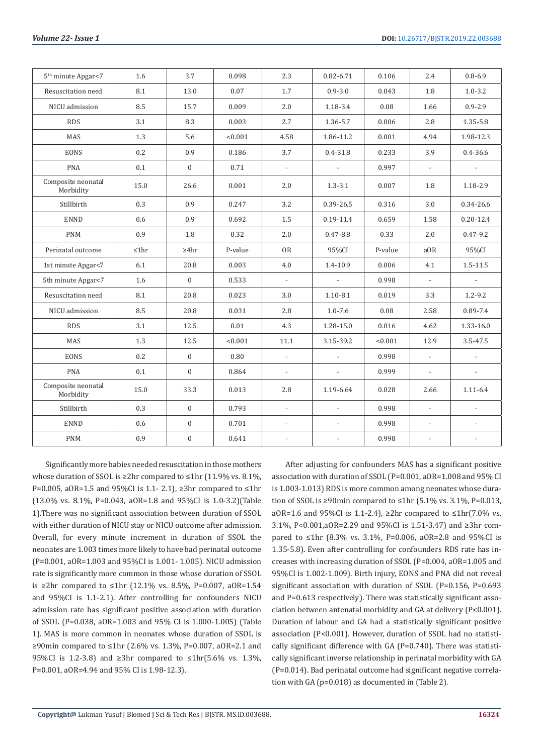| 5 <sup>th</sup> minute Apgar<7  | 1.6         | 3.7              | 0.098   | 2.3                      | $0.82 - 6.71$            | 0.106   | 2.4                      | $0.8 - 6.9$              |
|---------------------------------|-------------|------------------|---------|--------------------------|--------------------------|---------|--------------------------|--------------------------|
| Resuscitation need              | 8.1         | 13.0             | 0.07    | 1.7                      | $0.9 - 3.0$              | 0.043   | 1.8                      | $1.0 - 3.2$              |
| NICU admission                  | 8.5         | 15.7             | 0.009   | 2.0                      | 1.18-3.4                 | 0.08    | 1.66                     | $0.9 - 2.9$              |
| <b>RDS</b>                      | 3.1         | 8.3              | 0.003   | 2.7                      | 1.36-5.7                 | 0.006   | 2.8                      | 1.35-5.8                 |
| MAS                             | 1.3         | 5.6              | < 0.001 | 4.58                     | 1.86-11.2                | 0.001   | 4.94                     | 1.98-12.3                |
| <b>EONS</b>                     | 0.2         | 0.9              | 0.186   | 3.7                      | $0.4 - 31.8$             | 0.233   | 3.9                      | $0.4 - 36.6$             |
| <b>PNA</b>                      | 0.1         | $\mathbf{0}$     | 0.71    | $\overline{\phantom{a}}$ | $\sim$                   | 0.997   | $\blacksquare$           | $\blacksquare$           |
| Composite neonatal<br>Morbidity | 15.0        | 26.6             | 0.001   | 2.0                      | $1.3 - 3.1$              | 0.007   | 1.8                      | 1.18-2.9                 |
| Stillbirth                      | 0.3         | 0.9              | 0.247   | 3.2                      | 0.39-26.5                | 0.316   | 3.0                      | 0.34-26.6                |
| <b>ENND</b>                     | 0.6         | 0.9              | 0.692   | 1.5                      | $0.19 - 11.4$            | 0.659   | 1.58                     | $0.20 - 12.4$            |
| <b>PNM</b>                      | 0.9         | 1.8              | 0.32    | 2.0                      | $0.47 - 8.8$             | 0.33    | 2.0                      | $0.47 - 9.2$             |
| Perinatal outcome               | $\leq 1$ hr | $\geq 4$ hr      | P-value | <b>OR</b>                | 95%CI                    | P-value | a0R                      | 95%CI                    |
| 1st minute Apgar<7              | 6.1         | 20.8             | 0.003   | 4.0                      | 1.4-10.9                 | 0.006   | 4.1                      | $1.5 - 11.5$             |
| 5th minute Apgar<7              | 1.6         | $\mathbf{0}$     | 0.533   | $\overline{\phantom{a}}$ | $\mathcal{L}^{\pm}$      | 0.998   | $\overline{\phantom{a}}$ | $\blacksquare$           |
| Resuscitation need              | 8.1         | 20.8             | 0.023   | 3.0                      | $1.10 - 8.1$             | 0.019   | 3.3                      | $1.2 - 9.2$              |
| NICU admission                  | 8.5         | 20.8             | 0.031   | 2.8                      | $1.0 - 7.6$              | 0.08    | 2.58                     | 0.89-7.4                 |
| <b>RDS</b>                      | 3.1         | 12.5             | 0.01    | 4.3                      | 1.28-15.0                | 0.016   | 4.62                     | 1.33-16.0                |
| MAS                             | 1.3         | 12.5             | < 0.001 | 11.1                     | 3.15-39.2                | < 0.001 | 12.9                     | $3.5 - 47.5$             |
| <b>EONS</b>                     | 0.2         | $\mathbf{0}$     | 0.80    | $\overline{\phantom{a}}$ | $\mathbb{L}$             | 0.998   | $\overline{\phantom{a}}$ | $\overline{a}$           |
| <b>PNA</b>                      | 0.1         | $\mathbf{0}$     | 0.864   | $\overline{\phantom{a}}$ | $\overline{\phantom{a}}$ | 0.999   | $\overline{\phantom{a}}$ | $\overline{\phantom{a}}$ |
| Composite neonatal<br>Morbidity | 15.0        | 33.3             | 0.013   | 2.8                      | 1.19-6.64                | 0.028   | 2.66                     | $1.11 - 6.4$             |
| Stillbirth                      | 0.3         | $\mathbf{0}$     | 0.793   | $\mathbb{Z}^2$           | $\mathcal{L}$            | 0.998   | $\mathcal{L}$            | $\overline{a}$           |
| <b>ENND</b>                     | 0.6         | $\boldsymbol{0}$ | 0.701   | $\mathbb{Z}^2$           | $\mathcal{L}$            | 0.998   | $\mathbb{L}$             | $\overline{\phantom{a}}$ |
| <b>PNM</b>                      | 0.9         | $\boldsymbol{0}$ | 0.641   | $\overline{\phantom{a}}$ |                          | 0.998   | $\overline{\phantom{a}}$ |                          |

Significantly more babies needed resuscitation in those mothers whose duration of SSOL is ≥2hr compared to ≤1hr (11.9% vs. 8.1%). P=0.005, aOR=1.5 and 95%CI is 1.1- 2.1), ≥3hr compared to ≤1hr (13.0% vs. 8.1%, P=0.043, aOR=1.8 and 95%CI is 1.0-3.2)(Table 1).There was no significant association between duration of SSOL with either duration of NICU stay or NICU outcome after admission. Overall, for every minute increment in duration of SSOL the neonates are 1.003 times more likely to have bad perinatal outcome (P=0.001, aOR=1.003 and 95%CI is 1.001- 1.005). NICU admission rate is significantly more common in those whose duration of SSOL is ≥2hr compared to ≤1hr (12.1% vs. 8.5%, P=0.007, aOR=1.54 and 95%CI is 1.1-2.1). After controlling for confounders NICU admission rate has significant positive association with duration of SSOL (P=0.038, aOR=1.003 and 95% CI is 1.000-1.005) (Table 1). MAS is more common in neonates whose duration of SSOL is ≥90min compared to ≤1hr (2.6% vs. 1.3%, P=0.007, aOR=2.1 and 95%CI is 1.2-3.8) and ≥3hr compared to ≤1hr(5.6% vs. 1.3%, P=0.001, aOR=4.94 and 95% CI is 1.98-12.3).

After adjusting for confounders MAS has a significant positive association with duration of SSOL (P=0.001, aOR=1.008 and 95% CI is 1.003-1.013) RDS is more common among neonates whose duration of SSOL is ≥90min compared to ≤1hr (5.1% vs. 3.1%, P=0.013, aOR=1.6 and 95%CI is 1.1-2.4), ≥2hr compared to ≤1hr(7.0% vs. 3.1%, P<0.001,aOR=2.29 and 95%CI is 1.51-3.47) and ≥3hr compared to ≤1hr (8.3% vs. 3.1%, P=0.006, aOR=2.8 and 95%CI is 1.35-5.8). Even after controlling for confounders RDS rate has increases with increasing duration of SSOL (P=0.004, aOR=1.005 and 95%CI is 1.002-1.009). Birth injury, EONS and PNA did not reveal significant association with duration of SSOL (P=0.156, P=0.693 and P=0.613 respectively). There was statistically significant association between antenatal morbidity and GA at delivery (P<0.001). Duration of labour and GA had a statistically significant positive association (P<0.001). However, duration of SSOL had no statistically significant difference with GA (P=0.740). There was statistically significant inverse relationship in perinatal morbidity with GA (P=0.014). Bad perinatal outcome had significant negative correlation with GA (p=0.018) as documented in (Table 2).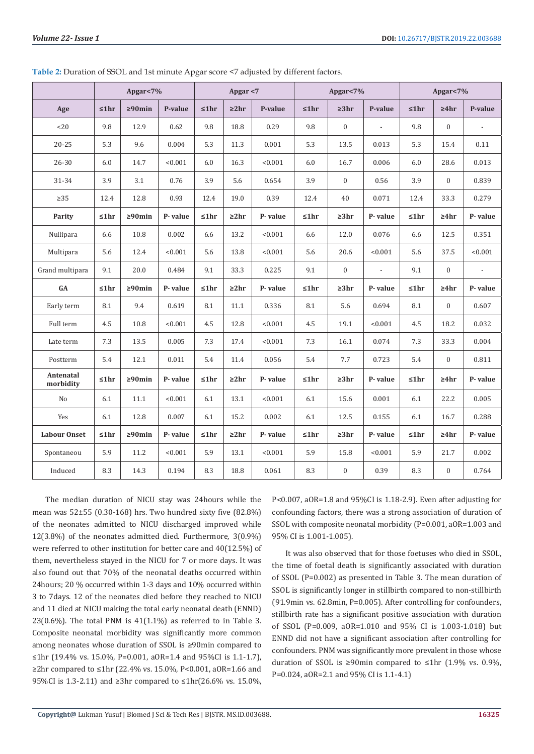|                        | Apgar<7%    |               |         | Apgar $<$ 7 |            |         |      | Apgar<7%         |                          | Apgar<7%    |                  |                |  |
|------------------------|-------------|---------------|---------|-------------|------------|---------|------|------------------|--------------------------|-------------|------------------|----------------|--|
| Age                    | ≤1hr        | $\geq 90$ min | P-value | ≤1hr        | $\geq 2hr$ | P-value | ≤1hr | $\geq 3hr$       | P-value                  | $\leq 1$ hr | ≥4hr             | P-value        |  |
| < 20                   | 9.8         | 12.9          | 0.62    | 9.8         | 18.8       | 0.29    | 9.8  | $\mathbf{0}$     | L,                       | 9.8         | $\mathbf{0}$     |                |  |
| $20 - 25$              | 5.3         | 9.6           | 0.004   | 5.3         | 11.3       | 0.001   | 5.3  | 13.5             | 0.013                    | 5.3         | 15.4             | 0.11           |  |
| 26-30                  | 6.0         | 14.7          | < 0.001 | 6.0         | 16.3       | < 0.001 | 6.0  | 16.7             | 0.006                    | 6.0         | 28.6             | 0.013          |  |
| 31-34                  | 3.9         | 3.1           | 0.76    | 3.9         | 5.6        | 0.654   | 3.9  | $\boldsymbol{0}$ | 0.56                     | 3.9         | $\boldsymbol{0}$ | 0.839          |  |
| $\geq$ 35              | 12.4        | 12.8          | 0.93    | 12.4        | 19.0       | 0.39    | 12.4 | 40               | 0.071                    | 12.4        | 33.3             | 0.279          |  |
| Parity                 | ≤1hr        | $\geq 90$ min | P-value | ≤1hr        | $\geq 2hr$ | P-value | ≤1hr | $\geq 3hr$       | P-value                  | ≤1hr        | $\geq 4hr$       | P-value        |  |
| Nullipara              | 6.6         | 10.8          | 0.002   | 6.6         | 13.2       | < 0.001 | 6.6  | 12.0             | 0.076                    | 6.6         | 12.5             | 0.351          |  |
| Multipara              | 5.6         | 12.4          | < 0.001 | 5.6         | 13.8       | < 0.001 | 5.6  | 20.6             | < 0.001                  | 5.6         | 37.5             | < 0.001        |  |
| Grand multipara        | 9.1         | 20.0          | 0.484   | 9.1         | 33.3       | 0.225   | 9.1  | $\boldsymbol{0}$ | $\overline{\phantom{a}}$ | 9.1         | $\mathbf{0}$     | $\blacksquare$ |  |
| <b>GA</b>              | ≤1hr        | $\geq 90$ min | P-value | ≤1hr        | $\geq 2hr$ | P-value | ≤1hr | $\geq 3hr$       | P-value                  | ≤1hr        | $\geq 4hr$       | P-value        |  |
| Early term             | 8.1         | 9.4           | 0.619   | 8.1         | 11.1       | 0.336   | 8.1  | 5.6              | 0.694                    | 8.1         | $\mathbf{0}$     | 0.607          |  |
| Full term              | 4.5         | 10.8          | < 0.001 | 4.5         | 12.8       | < 0.001 | 4.5  | 19.1             | < 0.001                  | 4.5         | 18.2             | 0.032          |  |
| Late term              | 7.3         | 13.5          | 0.005   | 7.3         | 17.4       | < 0.001 | 7.3  | 16.1             | 0.074                    | 7.3         | 33.3             | 0.004          |  |
| Postterm               | 5.4         | 12.1          | 0.011   | 5.4         | 11.4       | 0.056   | 5.4  | 7.7              | 0.723                    | 5.4         | $\boldsymbol{0}$ | 0.811          |  |
| Antenatal<br>morbidity | ≤1hr        | $\geq 90$ min | P-value | ≤1hr        | $\geq 2hr$ | P-value | ≤1hr | $\geq 3hr$       | P-value                  | ≤1hr        | $\geq 4hr$       | P-value        |  |
| N <sub>o</sub>         | 6.1         | $11.1\,$      | < 0.001 | 6.1         | 13.1       | < 0.001 | 6.1  | 15.6             | 0.001                    | 6.1         | 22.2             | 0.005          |  |
| Yes                    | 6.1         | 12.8          | 0.007   | 6.1         | 15.2       | 0.002   | 6.1  | 12.5             | 0.155                    | 6.1         | 16.7             | 0.288          |  |
| <b>Labour Onset</b>    | $\leq 1$ hr | $\geq 90$ min | P-value | ≤1hr        | $\geq 2hr$ | P-value | ≤1hr | $\geq 3hr$       | P-value                  | ≤1hr        | $\geq 4hr$       | P-value        |  |
| Spontaneou             | 5.9         | 11.2          | < 0.001 | 5.9         | 13.1       | < 0.001 | 5.9  | 15.8             | < 0.001                  | 5.9         | 21.7             | 0.002          |  |
| Induced                | 8.3         | 14.3          | 0.194   | 8.3         | 18.8       | 0.061   | 8.3  | $\boldsymbol{0}$ | 0.39                     | 8.3         | $\boldsymbol{0}$ | 0.764          |  |

**Table 2:** Duration of SSOL and 1st minute Apgar score <7 adjusted by different factors.

The median duration of NICU stay was 24hours while the mean was 52±55 (0.30-168) hrs. Two hundred sixty five (82.8%) of the neonates admitted to NICU discharged improved while 12(3.8%) of the neonates admitted died. Furthermore, 3(0.9%) were referred to other institution for better care and 40(12.5%) of them, nevertheless stayed in the NICU for 7 or more days. It was also found out that 70% of the neonatal deaths occurred within 24hours; 20 % occurred within 1-3 days and 10% occurred within 3 to 7days. 12 of the neonates died before they reached to NICU and 11 died at NICU making the total early neonatal death (ENND)  $23(0.6\%)$ . The total PNM is  $41(1.1\%)$  as referred to in Table 3. Composite neonatal morbidity was significantly more common among neonates whose duration of SSOL is ≥90min compared to ≤1hr (19.4% vs. 15.0%, P=0.001, aOR=1.4 and 95%CI is 1.1-1.7), ≥2hr compared to ≤1hr (22.4% vs. 15.0%, P<0.001, aOR=1.66 and 95%CI is 1.3-2.11) and ≥3hr compared to ≤1hr(26.6% vs. 15.0%,

P<0.007, aOR=1.8 and 95%CI is 1.18-2.9). Even after adjusting for confounding factors, there was a strong association of duration of SSOL with composite neonatal morbidity (P=0.001, aOR=1.003 and 95% CI is 1.001-1.005).

It was also observed that for those foetuses who died in SSOL, the time of foetal death is significantly associated with duration of SSOL (P=0.002) as presented in Table 3. The mean duration of SSOL is significantly longer in stillbirth compared to non-stillbirth (91.9min vs. 62.8min, P=0.005). After controlling for confounders, stillbirth rate has a significant positive association with duration of SSOL (P=0.009, aOR=1.010 and 95% CI is 1.003-1.018) but ENND did not have a significant association after controlling for confounders. PNM was significantly more prevalent in those whose duration of SSOL is ≥90min compared to ≤1hr (1.9% vs. 0.9%, P=0.024, aOR=2.1 and 95% CI is 1.1-4.1)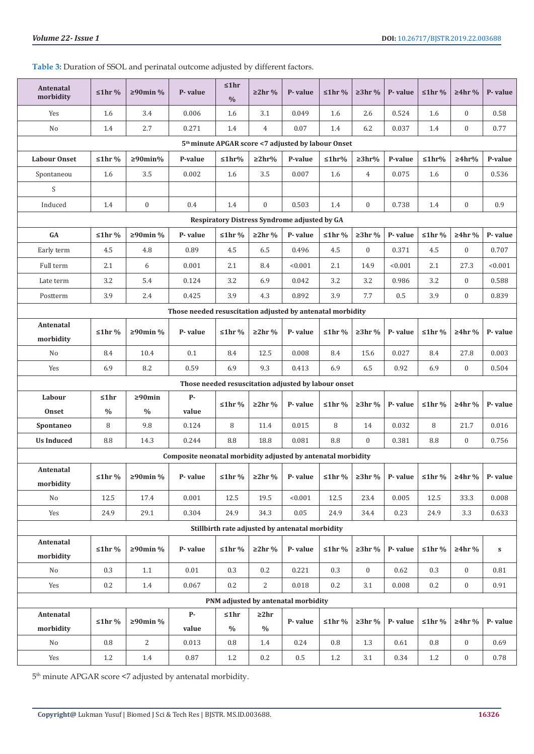# **Table 3:** Duration of SSOL and perinatal outcome adjusted by different factors.

|                                                                | <b>Antenatal</b><br>morbidity                       | $\leq 1$ hr % | $\geq 90$ min %  | P-value                                                      | ≤1hr<br>$\frac{0}{0}$ | $\geq 2$ hr %        | P-value                                         | $\leq 1$ hr % | $\geq 3$ hr %               | P-value | $\leq 1$ hr % | $\geq 4$ hr %    | P-value   |
|----------------------------------------------------------------|-----------------------------------------------------|---------------|------------------|--------------------------------------------------------------|-----------------------|----------------------|-------------------------------------------------|---------------|-----------------------------|---------|---------------|------------------|-----------|
|                                                                | Yes                                                 | 1.6           | 3.4              | 0.006                                                        | 1.6                   | 3.1                  | 0.049                                           | 1.6           | 2.6                         | 0.524   | 1.6           | $\boldsymbol{0}$ | 0.58      |
|                                                                | No                                                  | 1.4           | 2.7              | 0.271                                                        | 1.4                   | $\overline{4}$       | 0.07                                            | 1.4           | 6.2                         | 0.037   | 1.4           | $\boldsymbol{0}$ | 0.77      |
| 5 <sup>th</sup> minute APGAR score <7 adjusted by labour Onset |                                                     |               |                  |                                                              |                       |                      |                                                 |               |                             |         |               |                  |           |
|                                                                | <b>Labour Onset</b>                                 | $≤1hr$ %      | $\geq 90$ min%   | P-value                                                      | $\leq 1$ hr%          | $\geq 2hr$ %         | P-value                                         | $\leq 1$ hr%  | $\geq 3hr\%$                | P-value | $\leq 1$ hr%  | $\geq 4hr$ %     | P-value   |
|                                                                | Spontaneou                                          | 1.6           | 3.5              | 0.002                                                        | 1.6                   | 3.5                  | 0.007                                           | 1.6           | $\overline{4}$              | 0.075   | 1.6           | $\boldsymbol{0}$ | 0.536     |
|                                                                | S                                                   |               |                  |                                                              |                       |                      |                                                 |               |                             |         |               |                  |           |
|                                                                | Induced                                             | 1.4           | $\boldsymbol{0}$ | 0.4                                                          | 1.4                   | $\boldsymbol{0}$     | 0.503                                           | 1.4           | $\mathbf{0}$                | 0.738   | 1.4           | $\boldsymbol{0}$ | 0.9       |
|                                                                | Respiratory Distress Syndrome adjusted by GA        |               |                  |                                                              |                       |                      |                                                 |               |                             |         |               |                  |           |
|                                                                | GA                                                  | $\leq 1$ hr % | ≥90min %         | P-value                                                      | $\leq 1$ hr %         | $\geq 2$ hr %        | P-value                                         | $\leq 1$ hr % | $\geq 3$ hr %               | P-value | $\leq 1$ hr % | $\geq 4$ hr %    | P-value   |
|                                                                | Early term                                          | 4.5           | 4.8              | 0.89                                                         | 4.5                   | 6.5                  | 0.496                                           | $4.5\,$       | $\mathbf{0}$                | 0.371   | 4.5           | $\boldsymbol{0}$ | 0.707     |
|                                                                | Full term                                           | 2.1           | 6                | 0.001                                                        | 2.1                   | 8.4                  | < 0.001                                         | 2.1           | 14.9                        | < 0.001 | 2.1           | 27.3             | < 0.001   |
|                                                                | Late term                                           | 3.2           | 5.4              | 0.124                                                        | 3.2                   | 6.9                  | 0.042                                           | 3.2           | 3.2                         | 0.986   | 3.2           | $\mathbf{0}$     | 0.588     |
|                                                                | Postterm                                            | 3.9           | 2.4              | 0.425                                                        | 3.9                   | 4.3                  | 0.892                                           | 3.9           | 7.7                         | $0.5\,$ | 3.9           | $\boldsymbol{0}$ | 0.839     |
|                                                                |                                                     |               |                  | Those needed resuscitation adjusted by antenatal morbidity   |                       |                      |                                                 |               |                             |         |               |                  |           |
|                                                                | Antenatal<br>morbidity                              | $\leq 1$ hr % | ≥90min %         | P-value                                                      | $\leq 1$ hr %         | $\geq 2$ hr %        | P-value                                         | $\leq 1$ hr % | $≥3hr$ %                    | P-value | $\leq 1$ hr % | $\geq 4$ hr %    | P-value   |
|                                                                | No                                                  | 8.4           | 10.4             | 0.1                                                          | 8.4                   | 12.5                 | 0.008                                           | 8.4           | 15.6                        | 0.027   | 8.4           | 27.8             | 0.003     |
|                                                                | Yes                                                 | 6.9           | 8.2              | 0.59                                                         | 6.9                   | 9.3                  | 0.413                                           | 6.9           | 6.5                         | 0.92    | 6.9           | $\boldsymbol{0}$ | 0.504     |
|                                                                | Those needed resuscitation adjusted by labour onset |               |                  |                                                              |                       |                      |                                                 |               |                             |         |               |                  |           |
| Labour<br>≤1hr<br>$\geq 90$ min<br><b>P-</b>                   |                                                     |               |                  |                                                              |                       |                      |                                                 |               |                             |         |               |                  |           |
|                                                                | Onset                                               | $\%$          | $\frac{0}{0}$    | value                                                        | $\leq 1$ hr %         | $\geq 2$ hr %        | P-value                                         | $\leq 1$ hr % | $\geq 3$ hr %               | P-value | $\leq 1$ hr % | $\geq 4$ hr %    | P-value   |
|                                                                | Spontaneo                                           | 8             | 9.8              | 0.124                                                        | 8                     | 11.4                 | 0.015                                           | 8             | 14                          | 0.032   | 8             | 21.7             | 0.016     |
|                                                                | <b>Us Induced</b>                                   | 8.8           | 14.3             | 0.244                                                        | $\ \, 8.8$            | 18.8                 | 0.081                                           | $\ \, 8.8$    | $\mathbf{0}$                | 0.381   | 8.8           | $\mathbf{0}$     | 0.756     |
|                                                                |                                                     |               |                  | Composite neonatal morbidity adjusted by antenatal morbidity |                       |                      |                                                 |               |                             |         |               |                  |           |
|                                                                | Antenatal                                           | $\leq 1$ hr % | ≥90min %         | P-value                                                      | $\leq 1$ hr %         | $\geq$ 2hr %         | P-value                                         |               | $\leq 1$ hr % $\geq 3$ hr % | P-value | $\leq 1$ hr % | $\geq 4$ hr %    | P-value   |
|                                                                | morbidity                                           |               |                  |                                                              |                       |                      |                                                 |               |                             |         |               |                  |           |
|                                                                | No                                                  | 12.5          | 17.4             | 0.001                                                        | 12.5                  | 19.5                 | < 0.001                                         | 12.5          | 23.4                        | 0.005   | 12.5          | 33.3             | 0.008     |
|                                                                | Yes                                                 | 24.9          | 29.1             | 0.304                                                        | 24.9                  | 34.3                 | 0.05                                            | 24.9          | 34.4                        | 0.23    | 24.9          | 3.3              | 0.633     |
|                                                                |                                                     |               |                  |                                                              |                       |                      | Stillbirth rate adjusted by antenatal morbidity |               |                             |         |               |                  |           |
|                                                                | Antenatal                                           | $\leq 1$ hr % | $\geq 90$ min %  | P-value                                                      | $\leq 1$ hr %         | $\geq 2$ hr %        | P-value                                         | $\leq 1$ hr % | $\geq 3$ hr %               | P-value | $\leq 1$ hr % | $\geq 4$ hr %    | ${\bf S}$ |
|                                                                | morbidity                                           |               |                  |                                                              |                       |                      |                                                 |               |                             |         |               |                  |           |
|                                                                | No                                                  | 0.3           | 1.1              | $0.01\,$                                                     | 0.3                   | 0.2                  | 0.221                                           | 0.3           | $\boldsymbol{0}$            | 0.62    | 0.3           | $\boldsymbol{0}$ | 0.81      |
|                                                                | Yes                                                 | 0.2           | $1.4\,$          | 0.067                                                        | 0.2                   | $\overline{2}$       | 0.018                                           | 0.2           | 3.1                         | 0.008   | 0.2           | $\mathbf{0}$     | 0.91      |
|                                                                |                                                     |               |                  |                                                              |                       |                      | PNM adjusted by antenatal morbidity             |               |                             |         |               |                  |           |
|                                                                | Antenatal                                           | $\leq 1$ hr % | ≥90min %         | <b>p</b> .                                                   | ≤1hr                  | $\geq 2hr$           | P-value                                         | $\leq 1$ hr % | $\geq 3$ hr %               | P-value | $\leq 1$ hr % | $≥4hr$ %         | P-value   |
|                                                                | morbidity<br>No                                     | 0.8           | $\overline{2}$   | value<br>0.013                                               | $\%$<br>0.8           | $\frac{0}{0}$<br>1.4 | 0.24                                            | 0.8           | 1.3                         | 0.61    | 0.8           | $\boldsymbol{0}$ | 0.69      |
|                                                                | Yes                                                 |               | $1.4\,$          | 0.87                                                         | 1.2                   |                      | 0.5                                             |               | 3.1                         | 0.34    | 1.2           |                  | 0.78      |
|                                                                |                                                     | 1.2           |                  |                                                              |                       | 0.2                  |                                                 | 1.2           |                             |         |               | $\boldsymbol{0}$ |           |

 $5^{\rm th}$  minute APGAR score <7 adjusted by antenatal morbidity.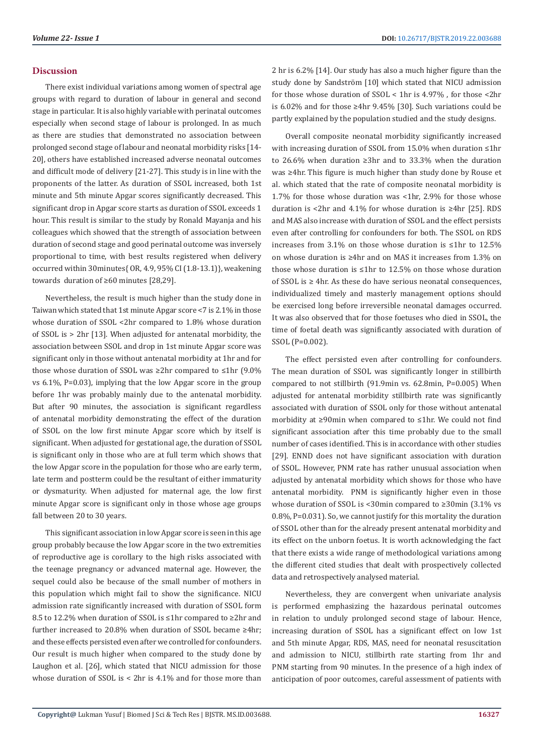## **Discussion**

There exist individual variations among women of spectral age groups with regard to duration of labour in general and second stage in particular. It is also highly variable with perinatal outcomes especially when second stage of labour is prolonged. In as much as there are studies that demonstrated no association between prolonged second stage of labour and neonatal morbidity risks [14- 20], others have established increased adverse neonatal outcomes and difficult mode of delivery [21-27]. This study is in line with the proponents of the latter. As duration of SSOL increased, both 1st minute and 5th minute Apgar scores significantly decreased. This significant drop in Apgar score starts as duration of SSOL exceeds 1 hour. This result is similar to the study by Ronald Mayanja and his colleagues which showed that the strength of association between duration of second stage and good perinatal outcome was inversely proportional to time, with best results registered when delivery occurred within 30minutes{ OR, 4.9, 95% CI (1.8-13.1)}, weakening towards duration of ≥60 minutes [28,29].

Nevertheless, the result is much higher than the study done in Taiwan which stated that 1st minute Apgar score <7 is 2.1% in those whose duration of SSOL <2hr compared to 1.8% whose duration of SSOL is > 2hr [13]. When adjusted for antenatal morbidity, the association between SSOL and drop in 1st minute Apgar score was significant only in those without antenatal morbidity at 1hr and for those whose duration of SSOL was ≥2hr compared to ≤1hr (9.0% vs 6.1%, P=0.03), implying that the low Apgar score in the group before 1hr was probably mainly due to the antenatal morbidity. But after 90 minutes, the association is significant regardless of antenatal morbidity demonstrating the effect of the duration of SSOL on the low first minute Apgar score which by itself is significant. When adjusted for gestational age, the duration of SSOL is significant only in those who are at full term which shows that the low Apgar score in the population for those who are early term, late term and postterm could be the resultant of either immaturity or dysmaturity. When adjusted for maternal age, the low first minute Apgar score is significant only in those whose age groups fall between 20 to 30 years.

This significant association in low Apgar score is seen in this age group probably because the low Apgar score in the two extremities of reproductive age is corollary to the high risks associated with the teenage pregnancy or advanced maternal age. However, the sequel could also be because of the small number of mothers in this population which might fail to show the significance. NICU admission rate significantly increased with duration of SSOL form 8.5 to 12.2% when duration of SSOL is ≤1hr compared to ≥2hr and further increased to 20.8% when duration of SSOL became ≥4hr; and these effects persisted even after we controlled for confounders. Our result is much higher when compared to the study done by Laughon et al. [26], which stated that NICU admission for those whose duration of SSOL is < 2hr is 4.1% and for those more than

2 hr is 6.2% [14]. Our study has also a much higher figure than the study done by Sandström [10] which stated that NICU admission for those whose duration of SSOL < 1hr is 4.97% , for those <2hr is 6.02% and for those ≥4hr 9.45% [30]. Such variations could be partly explained by the population studied and the study designs.

Overall composite neonatal morbidity significantly increased with increasing duration of SSOL from 15.0% when duration ≤1hr to 26.6% when duration ≥3hr and to 33.3% when the duration was ≥4hr. This figure is much higher than study done by Rouse et al. which stated that the rate of composite neonatal morbidity is 1.7% for those whose duration was <1hr, 2.9% for those whose duration is <2hr and 4.1% for whose duration is ≥4hr [25]. RDS and MAS also increase with duration of SSOL and the effect persists even after controlling for confounders for both. The SSOL on RDS increases from 3.1% on those whose duration is ≤1hr to 12.5% on whose duration is ≥4hr and on MAS it increases from 1.3% on those whose duration is ≤1hr to 12.5% on those whose duration of SSOL is  $\geq$  4hr. As these do have serious neonatal consequences, individualized timely and masterly management options should be exercised long before irreversible neonatal damages occurred. It was also observed that for those foetuses who died in SSOL, the time of foetal death was significantly associated with duration of SSOL (P=0.002).

The effect persisted even after controlling for confounders. The mean duration of SSOL was significantly longer in stillbirth compared to not stillbirth (91.9min vs. 62.8min, P=0.005) When adjusted for antenatal morbidity stillbirth rate was significantly associated with duration of SSOL only for those without antenatal morbidity at ≥90min when compared to ≤1hr. We could not find significant association after this time probably due to the small number of cases identified. This is in accordance with other studies [29]. ENND does not have significant association with duration of SSOL. However, PNM rate has rather unusual association when adjusted by antenatal morbidity which shows for those who have antenatal morbidity. PNM is significantly higher even in those whose duration of SSOL is <30min compared to ≥30min (3.1% vs 0.8%, P=0.031). So, we cannot justify for this mortality the duration of SSOL other than for the already present antenatal morbidity and its effect on the unborn foetus. It is worth acknowledging the fact that there exists a wide range of methodological variations among the different cited studies that dealt with prospectively collected data and retrospectively analysed material.

Nevertheless, they are convergent when univariate analysis is performed emphasizing the hazardous perinatal outcomes in relation to unduly prolonged second stage of labour. Hence, increasing duration of SSOL has a significant effect on low 1st and 5th minute Apgar, RDS, MAS, need for neonatal resuscitation and admission to NICU, stillbirth rate starting from 1hr and PNM starting from 90 minutes. In the presence of a high index of anticipation of poor outcomes, careful assessment of patients with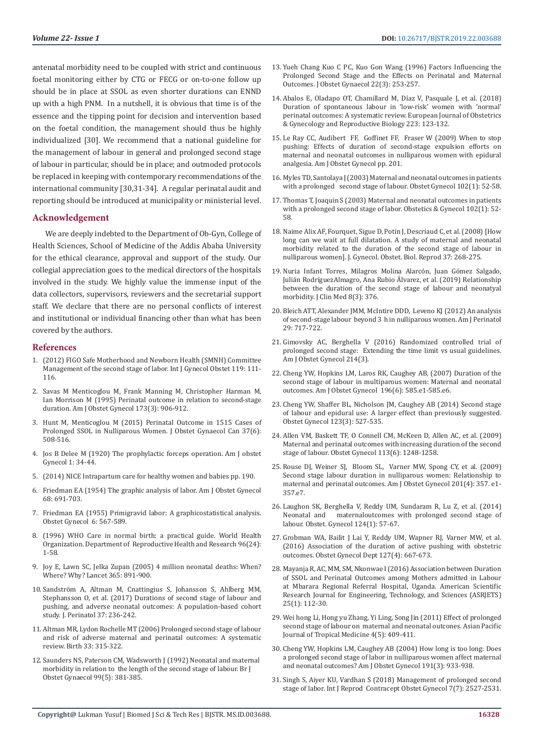antenatal morbidity need to be coupled with strict and continuous foetal monitoring either by CTG or FECG or on-to-one follow up should be in place at SSOL as even shorter durations can ENND up with a high PNM. In a nutshell, it is obvious that time is of the essence and the tipping point for decision and intervention based on the foetal condition, the management should thus be highly individualized [30]. We recommend that a national guideline for the management of labour in general and prolonged second stage of labour in particular, should be in place; and outmoded protocols be replaced in keeping with contemporary recommendations of the international community [30,31-34]. A regular perinatal audit and reporting should be introduced at municipality or ministerial level.

#### **Acknowledgement**

We are deeply indebted to the Department of Ob-Gyn, College of Health Sciences, School of Medicine of the Addis Ababa University for the ethical clearance, approval and support of the study. Our collegial appreciation goes to the medical directors of the hospitals involved in the study. We highly value the immense input of the data collectors, supervisors, reviewers and the secretarial support staff. We declare that there are no personal conflicts of interest and institutional or individual financing other than what has been covered by the authors.

#### **References**

- 1. [\(2012\) FIGO Safe Motherhood and Newborn Health \(SMNH\) Committee](https://obgyn.onlinelibrary.wiley.com/doi/full/10.1016/j.ijgo.2012.08.002)  [Management of the second stage of labor. Int J Gynecol Obstet 119: 111-](https://obgyn.onlinelibrary.wiley.com/doi/full/10.1016/j.ijgo.2012.08.002) [116](https://obgyn.onlinelibrary.wiley.com/doi/full/10.1016/j.ijgo.2012.08.002).
- 2. [Savas M Menticoglou M, Frank Manning M, Christopher Harman M,](https://www.ncbi.nlm.nih.gov/pubmed/7573267)  [Ian Morrison M \(1995\) Perinatal outcome in relation to second-stage](https://www.ncbi.nlm.nih.gov/pubmed/7573267)  [duration. Am J Obstet Gynecol 173\(3\): 906-912.](https://www.ncbi.nlm.nih.gov/pubmed/7573267)
- 3. [Hunt M, Menticoglou M \(2015\) Perinatal Outcome in 1515 Cases of](https://www.ncbi.nlm.nih.gov/pubmed/26334603)  [Prolonged SSOL in Nulliparous Women. J Obstet Gynaecol Can 37\(6\):](https://www.ncbi.nlm.nih.gov/pubmed/26334603)  [508-516.](https://www.ncbi.nlm.nih.gov/pubmed/26334603)
- 4. [Jos B Delee M \(1920\) The prophylactic forceps operation. Am J obstet](https://www.ajog.org/article/S0002-9378(02)00117-5/abstract)  [Gynecol 1: 34-44.](https://www.ajog.org/article/S0002-9378(02)00117-5/abstract)
- 5. (2014) NICE Intrapartum care for healthy women and babies pp. 190.
- 6. [Friedman EA \(1954\) The graphic analysis of labor. Am J Obstet Gynecol](https://www.ncbi.nlm.nih.gov/pubmed/13207246)  [68: 691-703.](https://www.ncbi.nlm.nih.gov/pubmed/13207246)
- 7. [Friedman EA \(1955\) Primigravid labor: A graphicostatistical analysis.](https://journals.lww.com/greenjournal/Citation/1955/12000/Primigravid_Labor__A_graphicostatistical_analysis.1.aspx)  [Obstet Gynecol 6: 567-589.](https://journals.lww.com/greenjournal/Citation/1955/12000/Primigravid_Labor__A_graphicostatistical_analysis.1.aspx)
- 8. (1996) WHO Care in normal birth: a practical guide. World Health Organization. Department of Reproductive Health and Research 96(24): 1-58.
- 9. [Joy E, Lawn SC, Jelka Zupan \(2005\) 4 million neonatal deaths: When?](https://www.ncbi.nlm.nih.gov/pubmed/15752534)  [Where? Why? Lancet 365: 891-900.](https://www.ncbi.nlm.nih.gov/pubmed/15752534)
- 10. [Sandström A, Altman M, Cnattingius S, Johansson S, Ahlberg MM,](https://www.ncbi.nlm.nih.gov/pubmed/27929527)  [Stephansson O, et al. \(2017\) Durations of second stage of labour and](https://www.ncbi.nlm.nih.gov/pubmed/27929527)  [pushing, and adverse neonatal outcomes: A population-based cohort](https://www.ncbi.nlm.nih.gov/pubmed/27929527)  [study. J. Perinatol 37: 236-242.](https://www.ncbi.nlm.nih.gov/pubmed/27929527)
- 11. [Altman MR, Lydon Rochelle MT \(2006\) Prolonged second stage of labour](https://www.ncbi.nlm.nih.gov/pubmed/17150071)  [and risk of adverse maternal and perinatal outcomes: A systematic](https://www.ncbi.nlm.nih.gov/pubmed/17150071)  [review. Birth 33: 315-322.](https://www.ncbi.nlm.nih.gov/pubmed/17150071)
- 12. [Saunders NS, Paterson CM, Wadsworth J \(1992\) Neonatal and maternal](https://www.ncbi.nlm.nih.gov/pubmed/1622909)  [morbidity in relation to the length of the second stage of labour. Br J](https://www.ncbi.nlm.nih.gov/pubmed/1622909)  [Obstet Gynaecol 99\(5\): 381-385.](https://www.ncbi.nlm.nih.gov/pubmed/1622909)
- 13. [Yueh Chang Kuo C PC, Kuo Gon Wang \(1996\) Factors Influencing the](https://obgyn.onlinelibrary.wiley.com/doi/abs/10.1111/j.1447-0756.1996.tb00975.x) [Prolonged Second Stage and the Effects on Perinatal and Maternal](https://obgyn.onlinelibrary.wiley.com/doi/abs/10.1111/j.1447-0756.1996.tb00975.x) [Outcomes. J Obstet Gynaecol 22\(3\): 253-257.](https://obgyn.onlinelibrary.wiley.com/doi/abs/10.1111/j.1447-0756.1996.tb00975.x)
- 14. [Abalos E, Oladapo OT, Chamillard M, Díaz V, Pasquale J, et al. \(2018\)](https://www.ncbi.nlm.nih.gov/pubmed/29518643) [Duration of spontaneous labour in 'low-risk' women with 'normal'](https://www.ncbi.nlm.nih.gov/pubmed/29518643) [perinatal outcomes: A systematic review. European Journal of Obstetrics](https://www.ncbi.nlm.nih.gov/pubmed/29518643) [& Gynecology and Reproductive Biology 223: 123-132.](https://www.ncbi.nlm.nih.gov/pubmed/29518643)
- 15. [Le Ray CC, Audibert FF, Goffinet FF, Fraser W \(2009\) When to stop](https://www.ncbi.nlm.nih.gov/pubmed/19788968) [pushing: Effects of duration of second-stage expulsion efforts on](https://www.ncbi.nlm.nih.gov/pubmed/19788968) [maternal and neonatal outcomes in nulliparous women with epidural](https://www.ncbi.nlm.nih.gov/pubmed/19788968) [analgesia. Am J Obstet Gynecol pp. 201.](https://www.ncbi.nlm.nih.gov/pubmed/19788968)
- 16. [Myles TD, Santolaya J \(2003\) Maternal and neonatal outcomes in patients](https://www.ncbi.nlm.nih.gov/pubmed/12850607) [with a prolonged second stage of labour. Obstet Gynecol 102\(1\): 52-58.](https://www.ncbi.nlm.nih.gov/pubmed/12850607)
- 17. [Thomas T, Joaquin S \(2003\) Maternal and neonatal outcomes in patients](https://www.ncbi.nlm.nih.gov/pubmed/12850607) [with a prolonged second stage of labor. Obstetics & Gynecol 102\(1\): 52-](https://www.ncbi.nlm.nih.gov/pubmed/12850607) [58.](https://www.ncbi.nlm.nih.gov/pubmed/12850607)
- 18. [Naime Alix AF, Fourquet, Sigue D, Potin J, Descriaud C, et al. \(2008\) \[How](https://www.ncbi.nlm.nih.gov/pubmed/18325688) [long can we wait at full dilatation. A study of maternal and neonatal](https://www.ncbi.nlm.nih.gov/pubmed/18325688) [morbidity related to the duration of the second stage of labour in](https://www.ncbi.nlm.nih.gov/pubmed/18325688) [nulliparous women\]. J. Gynecol. Obstet. Biol. Reprod 37: 268-275.](https://www.ncbi.nlm.nih.gov/pubmed/18325688)
- 19. [Nuria Infant Torres, Milagros Molina Alarcón, Juan Gómez Salgado,](https://www.ncbi.nlm.nih.gov/pmc/articles/PMC6463039/) [Julián RodríguezAlmagro, Ana Rubio Álvarez, et al. \(2019\) Relationship](https://www.ncbi.nlm.nih.gov/pmc/articles/PMC6463039/) [between the duration of the second stage of labour and neonatyal](https://www.ncbi.nlm.nih.gov/pmc/articles/PMC6463039/) [morbidity. J Clin Med 8\(3\): 376.](https://www.ncbi.nlm.nih.gov/pmc/articles/PMC6463039/)
- 20. [Bleich ATT, Alexander JMM, McIntire DDD, Leveno KJ \(2012\) An analysis](https://www.ncbi.nlm.nih.gov/pubmed/22644830) [of second-stage labour beyond 3 h in nulliparous women. Am J Perinatol](https://www.ncbi.nlm.nih.gov/pubmed/22644830) [29: 717-722.](https://www.ncbi.nlm.nih.gov/pubmed/22644830)
- 21. [Gimovsky AC, Berghella V \(2016\) Randomized controlled trial of](https://www.ncbi.nlm.nih.gov/pubmed/26928148) [prolonged second stage: Extending the time limit vs usual guidelines.](https://www.ncbi.nlm.nih.gov/pubmed/26928148) [Am J Obstet Gynecol 214\(3\).](https://www.ncbi.nlm.nih.gov/pubmed/26928148)
- 22. [Cheng YW, Hopkins LM, Laros RK, Caughey AB, \(2007\) Duration of the](https://www.ncbi.nlm.nih.gov/pubmed/17547906) [second stage of labour in multiparous women: Maternal and neonatal](https://www.ncbi.nlm.nih.gov/pubmed/17547906) [outcomes. Am J Obstet Gynecol 196\(6\): 585.e1-585.e6.](https://www.ncbi.nlm.nih.gov/pubmed/17547906)
- 23. [Cheng YW, Shaffer BL, Nicholson JM, Caughey AB \(2014\) Second stage](https://www.ncbi.nlm.nih.gov/pubmed/24499753) [of labour and epidural use: A larger effect than previously suggested.](https://www.ncbi.nlm.nih.gov/pubmed/24499753) [Obstet Gynecol 123\(3\): 527-535.](https://www.ncbi.nlm.nih.gov/pubmed/24499753)
- 24. [Allen VM, Baskett TF, O Connell CM, McKeen D, Allen AC, et al. \(2009\)](https://www.ncbi.nlm.nih.gov/pubmed/19461419https:/www.ncbi.nlm.nih.gov/pubmed/19461419) [Maternal and perinatal outcomes with increasing duration of the second](https://www.ncbi.nlm.nih.gov/pubmed/19461419https:/www.ncbi.nlm.nih.gov/pubmed/19461419) [stage of labour. Obstet Gynecol 113\(6\): 1248-1258.](https://www.ncbi.nlm.nih.gov/pubmed/19461419https:/www.ncbi.nlm.nih.gov/pubmed/19461419)
- 25. [Rouse DJ, Weiner SJ, Bloom SL, Varner MW, Spong CY, et al. \(2009\)](https://www.ncbi.nlm.nih.gov/pubmed/19788967) [Second stage labour duration in nulliparous women: Relationship to](https://www.ncbi.nlm.nih.gov/pubmed/19788967) [maternal and perinatal outcomes. Am J Obstet Gynecol 201\(4\): 357. e1-](https://www.ncbi.nlm.nih.gov/pubmed/19788967) [357.e7.](https://www.ncbi.nlm.nih.gov/pubmed/19788967)
- 26. [Laughon SK, Berghella V, Reddy UM, Sundaram R, Lu Z, et al. \(2014\)](https://www.ncbi.nlm.nih.gov/pubmed/24901265) [Neonatal and maternaloutcomes with prolonged second stage of](https://www.ncbi.nlm.nih.gov/pubmed/24901265) [labour. Obstet. Gynecol 124\(1\): 57-67.](https://www.ncbi.nlm.nih.gov/pubmed/24901265)
- 27. [Grobman WA, Bailit J Lai Y, Reddy UM, Wapner RJ, Varner MW, et al.](https://www.ncbi.nlm.nih.gov/pubmed/26959213) [\(2016\) Association of the duration of active pushing with obstetric](https://www.ncbi.nlm.nih.gov/pubmed/26959213) [outcomes. Obstet Gynecol Dept 127\(4\): 667-673.](https://www.ncbi.nlm.nih.gov/pubmed/26959213)
- 28. [Mayanja R, AC, MM, SM, Nkonwae I \(2016\) Association between Duration](https://asrjetsjournal.org/index.php/American_Scientific_Journal/article/view/2025) [of SSOL and Perinatal Outcomes among Mothers admitted in Labour](https://asrjetsjournal.org/index.php/American_Scientific_Journal/article/view/2025) [at Mbarara Regional Referral Hospital, Uganda. American Scientific](https://asrjetsjournal.org/index.php/American_Scientific_Journal/article/view/2025) [Research Journal for Engineering, Technology, and Sciences \(ASRJETS\)](https://asrjetsjournal.org/index.php/American_Scientific_Journal/article/view/2025) [25\(1\): 112-30.](https://asrjetsjournal.org/index.php/American_Scientific_Journal/article/view/2025)
- 29. [Wei hong Li, Hong yu Zhang, Yi Ling, Song Jin \(2011\) Effect of prolonged](https://www.ncbi.nlm.nih.gov/pubmed/21771687) [second stage of labour on maternal and neonatal outcones. Asian Pacific](https://www.ncbi.nlm.nih.gov/pubmed/21771687) [Journal of Tropical Medicine 4\(5\): 409-411.](https://www.ncbi.nlm.nih.gov/pubmed/21771687)
- 30. [Cheng YW, Hopkins LM, Caughey AB \(2004\) How long is too long: Does](https://www.ncbi.nlm.nih.gov/pubmed/15467567) [a prolonged second stage of labor in nulliparous women affect maternal](https://www.ncbi.nlm.nih.gov/pubmed/15467567) [and neonatal outcomes? Am J Obstet Gynecol 191\(3\): 933-938](https://www.ncbi.nlm.nih.gov/pubmed/15467567).
- 31. [Singh S, Aiyer KU, Vardhan S \(2018\) Management of prolonged second](https://obgyn.onlinelibrary.wiley.com/doi/full/10.1016/j.ijgo.2012.08.002) [stage of labor. Int J Reprod Contracept Obstet Gynecol 7\(7\): 2527-2531.](https://obgyn.onlinelibrary.wiley.com/doi/full/10.1016/j.ijgo.2012.08.002)